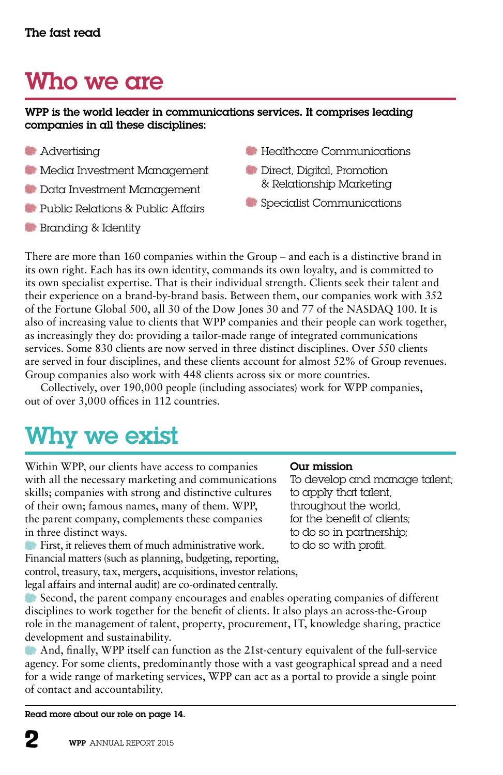# Who we are

#### WPP is the world leader in communications services. It comprises leading companies in all these disciplines:

- **Advertising**
- Media Investment Management
- Data Investment Management
- Public Relations & Public Affairs
- **Branding & Identity**
- **Healthcare Communications**
- Direct, Digital, Promotion & Relationship Marketing
- **Specialist Communications**

There are more than 160 companies within the Group – and each is a distinctive brand in its own right. Each has its own identity, commands its own loyalty, and is committed to its own specialist expertise. That is their individual strength. Clients seek their talent and their experience on a brand-by-brand basis. Between them, our companies work with 352 of the Fortune Global 500, all 30 of the Dow Jones 30 and 77 of the NASDAQ 100. It is also of increasing value to clients that WPP companies and their people can work together, as increasingly they do: providing a tailor-made range of integrated communications services. Some 830 clients are now served in three distinct disciplines. Over 550 clients are served in four disciplines, and these clients account for almost 52% of Group revenues. Group companies also work with 448 clients across six or more countries.

Collectively, over 190,000 people (including associates) work for WPP companies, out of over 3,000 offices in 112 countries.

# Why we exist

Within WPP, our clients have access to companies with all the necessary marketing and communications skills; companies with strong and distinctive cultures of their own; famous names, many of them. WPP, the parent company, complements these companies in three distinct ways.

First, it relieves them of much administrative work. Financial matters (such as planning, budgeting, reporting, control, treasury, tax, mergers, acquisitions, investor relations, legal affairs and internal audit) are co-ordinated centrally.

Second, the parent company encourages and enables operating companies of different disciplines to work together for the benefit of clients. It also plays an across-the-Group role in the management of talent, property, procurement, IT, knowledge sharing, practice development and sustainability.

And, finally, WPP itself can function as the 21st-century equivalent of the full-service agency. For some clients, predominantly those with a vast geographical spread and a need for a wide range of marketing services, WPP can act as a portal to provide a single point of contact and accountability.

Read more about our role on page 14.

#### Our mission

To develop and manage talent; to apply that talent, throughout the world, for the benefit of clients; to do so in partnership; to do so with profit.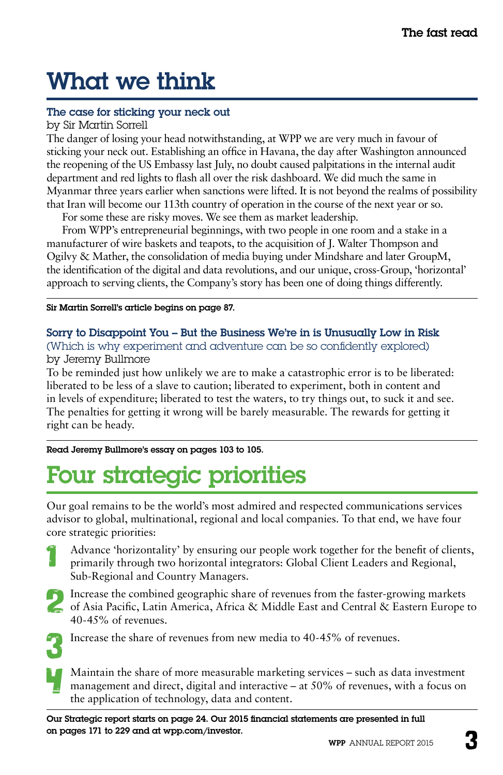# What we think

### The case for sticking your neck out

by Sir Martin Sorrell

The danger of losing your head notwithstanding, at WPP we are very much in favour of sticking your neck out. Establishing an office in Havana, the day after Washington announced the reopening of the US Embassy last July, no doubt caused palpitations in the internal audit department and red lights to flash all over the risk dashboard. We did much the same in Myanmar three years earlier when sanctions were lifted. It is not beyond the realms of possibility that Iran will become our 113th country of operation in the course of the next year or so.

For some these are risky moves. We see them as market leadership.

From WPP's entrepreneurial beginnings, with two people in one room and a stake in a manufacturer of wire baskets and teapots, to the acquisition of J. Walter Thompson and Ogilvy & Mather, the consolidation of media buying under Mindshare and later GroupM, the identification of the digital and data revolutions, and our unique, cross-Group, 'horizontal' approach to serving clients, the Company's story has been one of doing things differently.

Sir Martin Sorrell's article begins on page 87.

#### Sorry to Disappoint You – But the Business We're in is Unusually Low in Risk (Which is why experiment and adventure can be so confidently explored) by Jeremy Bullmore

To be reminded just how unlikely we are to make a catastrophic error is to be liberated: liberated to be less of a slave to caution; liberated to experiment, both in content and in levels of expenditure; liberated to test the waters, to try things out, to suck it and see. The penalties for getting it wrong will be barely measurable. The rewards for getting it right can be heady.

Read Jeremy Bullmore's essay on pages 103 to 105.

# Four strategic priorities

Our goal remains to be the world's most admired and respected communications services advisor to global, multinational, regional and local companies. To that end, we have four core strategic priorities:

- Advance 'horizontality' by ensuring our people work together for the benefit of clients, primarily through two horizontal integrators: Global Client Leaders and Regional, Sub-Regional and Country Managers.
- 
- Increase the combined geographic share of revenues from the faster-growing markets of Asia Pacific, Latin America, Africa & Middle East and Central & Eastern Europe to 40-45% of revenues.



Increase the share of revenues from new media to 40-45% of revenues.

Maintain the share of more measurable marketing services – such as data investment management and direct, digital and interactive – at 50% of revenues, with a focus on the application of technology, data and content.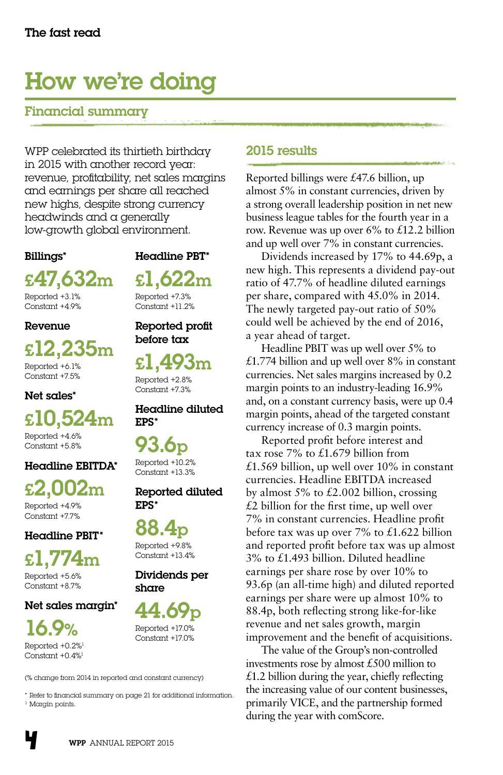## How we're doing

## Financial summary

WPP celebrated its thirtieth birthday in 2015 with another record year: revenue, profitability, net sales margins and earnings per share all reached new highs, despite strong currency headwinds and a generally low-growth global environment.

#### Billings\*

Headline PBT\*

£1,622m Reported +7.3% Constant +11.2%

Reported profit before tax

£1,493m Reported +2.8% Constant +7.3%

Headline diluted

Reported diluted

EPS\*

EPS\*

88

share

Reported +9.8% Constant +13.4% Dividends per

44.69p Reported +17.0% Constant +17.0%

93.6p Reported +10.2% Constant +13.3%

£47,632m

Reported +3.1% Constant +4.9%

#### **Revenue**

### £12,235m Reported +6.1% Constant +7.5%

Net sales\*

## £10,524m Reported +4.6%  $Context +5.8%$

### Headline EBITDA\*

£2,002m

Reported +4.9% Constant +7.7%

#### Headline PBIT\*

£1,774m

Reported +5.6% Constant +8.7%

#### Net sales margin\*

16.9% Reported +0.2%1

Constant +0.4%1

(% change from 2014 in reported and constant currency)

\* Refer to financial summary on page 21 for additional information. <sup>1</sup> Margin points.

## 2015 results

Reported billings were £47.6 billion, up almost 5% in constant currencies, driven by a strong overall leadership position in net new business league tables for the fourth year in a row. Revenue was up over  $6\%$  to £12.2 billion and up well over 7% in constant currencies.

Dividends increased by 17% to 44.69p, a new high. This represents a dividend pay-out ratio of 47.7% of headline diluted earnings per share, compared with 45.0% in 2014. The newly targeted pay-out ratio of 50% could well be achieved by the end of 2016, a year ahead of target.

Headline PBIT was up well over 5% to £1.774 billion and up well over  $8\%$  in constant currencies. Net sales margins increased by 0.2 margin points to an industry-leading 16.9% and, on a constant currency basis, were up 0.4 margin points, ahead of the targeted constant currency increase of 0.3 margin points.

Reported profit before interest and tax rose 7% to £1.679 billion from £1.569 billion, up well over  $10\%$  in constant currencies. Headline EBITDA increased by almost  $5\%$  to  $\text{\pounds}2.002$  billion, crossing  $£2$  billion for the first time, up well over 7% in constant currencies. Headline profit before tax was up over  $7\%$  to £1.622 billion and reported profit before tax was up almost 3% to £1.493 billion. Diluted headline earnings per share rose by over 10% to 93.6p (an all-time high) and diluted reported earnings per share were up almost 10% to 88.4p, both reflecting strong like-for-like revenue and net sales growth, margin improvement and the benefit of acquisitions.

The value of the Group's non-controlled investments rose by almost £500 million to  $£1.2$  billion during the year, chiefly reflecting the increasing value of our content businesses, primarily VICE, and the partnership formed during the year with comScore.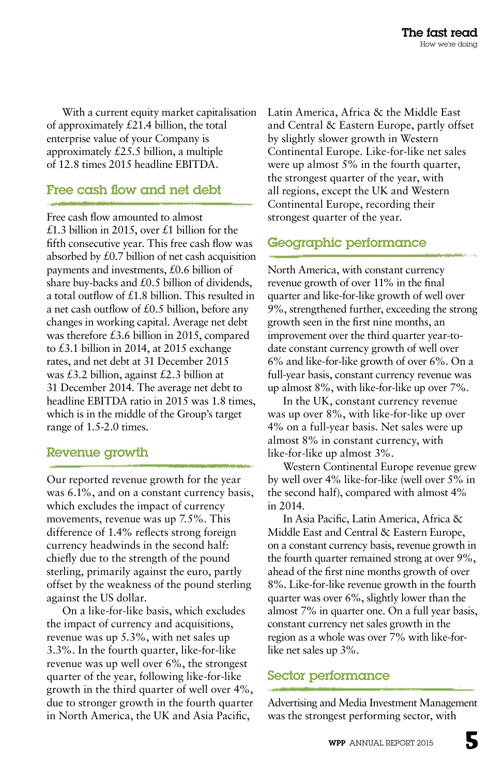With a current equity market capitalisation of approximately £21.4 billion, the total enterprise value of your Company is approximately £25.5 billion, a multiple of 12.8 times 2015 headline EBITDA.

## Free cash flow and net debt

Free cash flow amounted to almost £1.3 billion in 2015, over £1 billion for the fifth consecutive year. This free cash flow was absorbed by £0.7 billion of net cash acquisition payments and investments, £0.6 billion of share buy-backs and £0.5 billion of dividends, a total outflow of £1.8 billion. This resulted in a net cash outflow of £0.5 billion, before any changes in working capital. Average net debt was therefore £3.6 billion in 2015, compared to £3.1 billion in 2014, at 2015 exchange rates, and net debt at 31 December 2015 was £3.2 billion, against £2.3 billion at 31 December 2014. The average net debt to headline EBITDA ratio in 2015 was 1.8 times, which is in the middle of the Group's target range of 1.5-2.0 times.

#### Revenue growth

Our reported revenue growth for the year was 6.1%, and on a constant currency basis, which excludes the impact of currency movements, revenue was up 7.5%. This difference of 1.4% reflects strong foreign currency headwinds in the second half: chiefly due to the strength of the pound sterling, primarily against the euro, partly offset by the weakness of the pound sterling against the US dollar.

On a like-for-like basis, which excludes the impact of currency and acquisitions, revenue was up 5.3%, with net sales up 3.3%. In the fourth quarter, like-for-like revenue was up well over 6%, the strongest quarter of the year, following like-for-like growth in the third quarter of well over 4%, due to stronger growth in the fourth quarter in North America, the UK and Asia Pacific,

Latin America, Africa & the Middle East and Central & Eastern Europe, partly offset by slightly slower growth in Western Continental Europe. Like-for-like net sales were up almost 5% in the fourth quarter, the strongest quarter of the year, with all regions, except the UK and Western Continental Europe, recording their strongest quarter of the year.

## Geographic performance

North America, with constant currency revenue growth of over 11% in the final quarter and like-for-like growth of well over 9%, strengthened further, exceeding the strong growth seen in the first nine months, an improvement over the third quarter year-todate constant currency growth of well over 6% and like-for-like growth of over 6%. On a full-year basis, constant currency revenue was up almost 8%, with like-for-like up over 7%.

In the UK, constant currency revenue was up over 8%, with like-for-like up over 4% on a full-year basis. Net sales were up almost 8% in constant currency, with like-for-like up almost 3%.

Western Continental Europe revenue grew by well over 4% like-for-like (well over 5% in the second half), compared with almost 4% in 2014.

In Asia Pacific, Latin America, Africa & Middle East and Central & Eastern Europe, on a constant currency basis, revenue growth in the fourth quarter remained strong at over 9%, ahead of the first nine months growth of over 8%. Like-for-like revenue growth in the fourth quarter was over 6%, slightly lower than the almost 7% in quarter one. On a full year basis, constant currency net sales growth in the region as a whole was over 7% with like-forlike net sales up 3%.

### Sector performance

Advertising and Media Investment Management was the strongest performing sector, with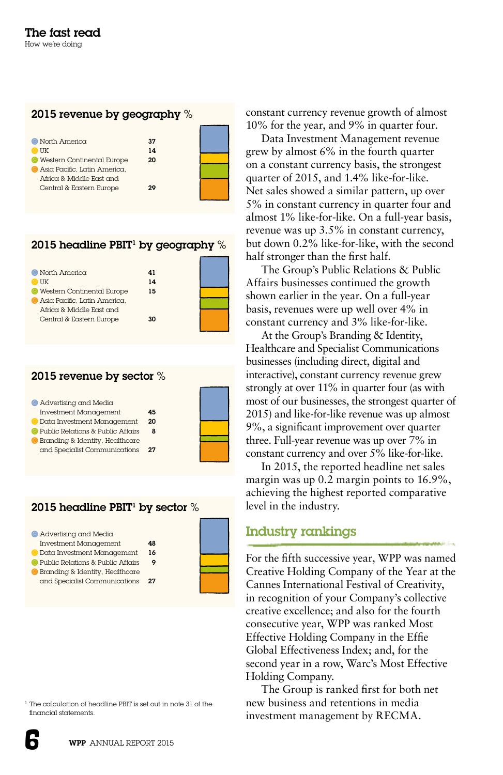#### 2015 revenue by geography %



## 2015 headline PBIT' by geography  $\%$

| $\bullet$ North America      | 41 |  |
|------------------------------|----|--|
| UK                           | 14 |  |
| Western Continental Europe   | 15 |  |
| Asia Pacific, Latin America, |    |  |
| Africa & Middle East and     |    |  |
| Central & Eastern Europe     | 30 |  |
|                              |    |  |

#### 2015 revenue by sector %

| Advertising and Media             |        |  |
|-----------------------------------|--------|--|
| <b>Investment Management</b>      | 45     |  |
| Data Investment Management        | $20 -$ |  |
| Public Relations & Public Affairs |        |  |
| Branding & Identity, Healthcare   |        |  |
| and Specialist Communications     | 27     |  |

#### 2015 headline PBIT' by sector  $\%$



1 The calculation of headline PBIT is set out in note 31 of the financial statements.

constant currency revenue growth of almost 10% for the year, and 9% in quarter four.

Data Investment Management revenue grew by almost 6% in the fourth quarter on a constant currency basis, the strongest quarter of 2015, and 1.4% like-for-like. Net sales showed a similar pattern, up over 5% in constant currency in quarter four and almost 1% like-for-like. On a full-year basis, revenue was up 3.5% in constant currency, but down 0.2% like-for-like, with the second half stronger than the first half.

The Group's Public Relations & Public Affairs businesses continued the growth shown earlier in the year. On a full-year basis, revenues were up well over 4% in constant currency and 3% like-for-like.

At the Group's Branding & Identity, Healthcare and Specialist Communications businesses (including direct, digital and interactive), constant currency revenue grew strongly at over 11% in quarter four (as with most of our businesses, the strongest quarter of 2015) and like-for-like revenue was up almost 9%, a significant improvement over quarter three. Full-year revenue was up over 7% in constant currency and over 5% like-for-like.

In 2015, the reported headline net sales margin was up 0.2 margin points to 16.9%, achieving the highest reported comparative level in the industry.

#### Industry rankings

For the fifth successive year, WPP was named Creative Holding Company of the Year at the Cannes International Festival of Creativity, in recognition of your Company's collective creative excellence; and also for the fourth consecutive year, WPP was ranked Most Effective Holding Company in the Effie Global Effectiveness Index; and, for the second year in a row, Warc's Most Effective Holding Company.

The Group is ranked first for both net new business and retentions in media investment management by RECMA.

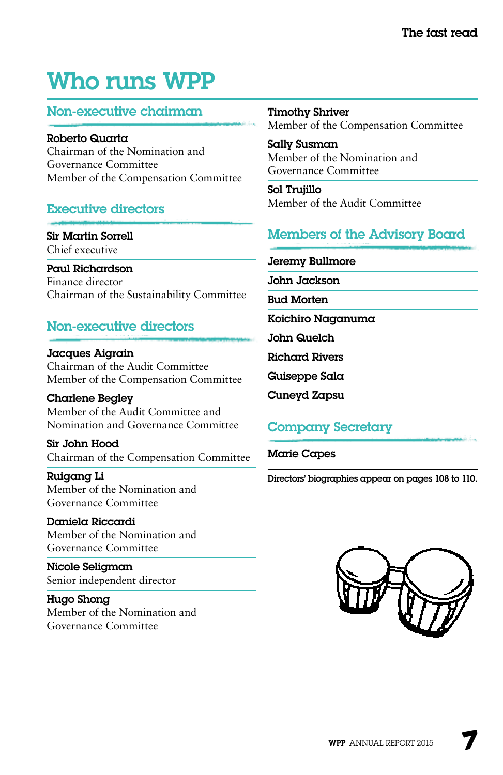## Who runs WPP

### Non-executive chairman

Roberto Quarta Chairman of the Nomination and Governance Committee Member of the Compensation Committee

## Executive directors

Sir Martin Sorrell Chief executive

Paul Richardson Finance director Chairman of the Sustainability Committee

### Non-executive directors

Jacques Aigrain Chairman of the Audit Committee Member of the Compensation Committee

Charlene Begley Member of the Audit Committee and Nomination and Governance Committee

Sir John Hood Chairman of the Compensation Committee

Ruigang Li Member of the Nomination and Governance Committee

Daniela Riccardi Member of the Nomination and Governance Committee

Nicole Seligman Senior independent director

Hugo Shong Member of the Nomination and Governance Committee

Timothy Shriver

Member of the Compensation Committee

Sally Susman Member of the Nomination and Governance Committee

Sol Trujillo Member of the Audit Committee

## Members of the Advisory Board

Jeremy Bullmore

John Jackson

Bud Morten

Koichiro Naganuma

John Quelch

Richard Rivers

Guiseppe Sala

Cuneyd Zapsu

## Company Secretary

Marie Capes

Directors' biographies appear on pages 108 to 110.